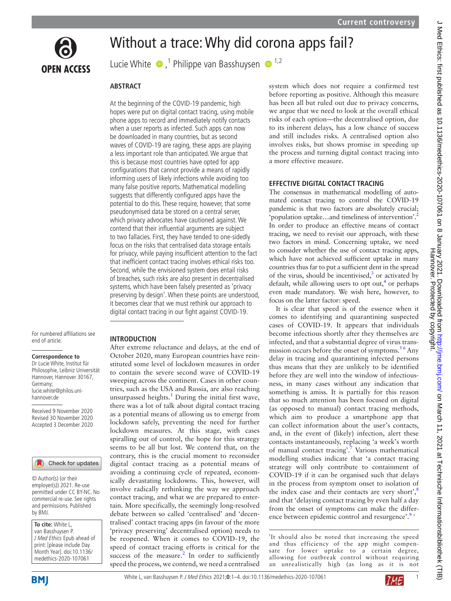

# Without a trace: Why did corona apps fail?

Lucie White  $\bullet$ ,<sup>1</sup> Philippe van Basshuysen  $\bullet$ <sup>1,2</sup>

## **ABSTRACT**

At the beginning of the COVID-19 pandemic, high hopes were put on digital contact tracing, using mobile phone apps to record and immediately notify contacts when a user reports as infected. Such apps can now be downloaded in many countries, but as second waves of COVID-19 are raging, these apps are playing a less important role than anticipated. We argue that this is because most countries have opted for app configurations that cannot provide a means of rapidly informing users of likely infections while avoiding too many false positive reports. Mathematical modelling suggests that differently configured apps have the potential to do this. These require, however, that some pseudonymised data be stored on a central server, which privacy advocates have cautioned against. We contend that their influential arguments are subject to two fallacies. First, they have tended to one-sidedly focus on the risks that centralised data storage entails for privacy, while paying insufficient attention to the fact that inefficient contact tracing involves ethical risks too. Second, while the envisioned system does entail risks of breaches, such risks are also present in decentralised systems, which have been falsely presented as 'privacy preserving by design'. When these points are understood, it becomes clear that we must rethink our approach to digital contact tracing in our fight against COVID-19.

For numbered affiliations see end of article.

#### **Correspondence to**

Dr Lucie White, Institut für Philosophie, Leibniz Universität Hannover, Hannover 30167, Germany; lucie.white@philos.unihannover.de

Received 9 November 2020 Revised 30 November 2020 Accepted 3 December 2020

Check for updates

© Author(s) (or their employer(s)) 2021. Re-use permitted under CC BY-NC. No commercial re-use. See rights and permissions. Published by BMJ.

| To cite: White L,          |
|----------------------------|
| van Basshuysen P.          |
| J Med Ethics Epub ahead of |
| print: [please include Day |
| Month Year]. doi:10.1136/  |
| medethics-2020-107061      |

### **INTRODUCTION**

After extreme reluctance and delays, at the end of October 2020, many European countries have reinstituted some level of lockdown measures in order to contain the severe second wave of COVID-19 sweeping across the continent. Cases in other countries, such as the USA and Russia, are also reaching unsurpassed heights. $1$  During the initial first wave, there was a lot of talk about digital contact tracing as a potential means of allowing us to emerge from lockdown safely, preventing the need for further lockdown measures. At this stage, with cases spiralling out of control, the hope for this strategy seems to be all but lost. We contend that, on the contrary, this is the crucial moment to reconsider digital contact tracing as a potential means of avoiding a continuing cycle of repeated, economically devastating lockdowns. This, however, will involve radically rethinking the way we approach contact tracing, and what we are prepared to entertain. More specifically, the seemingly long-resolved debate between so called 'centralised' and 'decentralised' contact tracing apps (in favour of the more 'privacy preserving' decentralised option) needs to be reopened. When it comes to COVID-19, the speed of contact tracing efforts is critical for the success of the measure.<sup>2</sup> In order to sufficiently speed the process, we contend, we need a centralised

system which does not require a confirmed test before reporting as positive. Although this measure has been all but ruled out due to privacy concerns, we argue that we need to look at the overall ethical risks of each option—the decentralised option, due to its inherent delays, has a low chance of success and still includes risks. A centralised option also involves risks, but shows promise in speeding up the process and turning digital contact tracing into a more effective measure.

# **EFFECTIVE DIGITAL CONTACT TRACING**

The consensus in mathematical modelling of automated contact tracing to control the COVID-19 pandemic is that two factors are absolutely crucial; 'population uptake…and timeliness of intervention'[.2](#page-3-1) In order to produce an effective means of contact tracing, we need to revisit our approach, with these two factors in mind. Concerning uptake, we need to consider whether the use of contact tracing apps, which have not achieved sufficient uptake in many countries thus far to put a sufficient dent in the spread of the virus, should be incentivised, $3$  or activated by default, while allowing users to opt out, $4$  or perhaps even made mandatory. We wish here, however, to focus on the latter factor: speed.

It is clear that speed is of the essence when it comes to identifying and quarantining suspected cases of COVID-19. It appears that individuals become infectious shortly after they themselves are infected, and that a substantial degree of virus transmission occurs before the onset of symptoms.<sup>56</sup> Any delay in tracing and quarantining infected persons thus means that they are unlikely to be identified before they are well into the window of infectiousness, in many cases without any indication that something is amiss. It is partially for this reason that so much attention has been focused on digital (as opposed to manual) contact tracing methods, which aim to produce a smartphone app that can collect information about the user's contacts, and, in the event of (likely) infection, alert these contacts instantaneously, replacing 'a week's worth of manual contact tracing'.<sup>7</sup> Various mathematical modelling studies indicate that 'a contact tracing strategy will only contribute to containment of COVID-19 if it can be organised such that delays in the process from symptom onset to isolation of the index case and their contacts are very short', $8$ and that 'delaying contact tracing by even half a day from the onset of symptoms can make the difference between epidemic control and resurgence'. $9^{\frac{1}{1}}$  $9^{\frac{1}{1}}$ 

<sup>i</sup>It should also be noted that increasing the speed and thus efficiency of the app might compensate for lower uptake to a certain degree, allowing for outbreak control without requiring an unrealistically high (as long as it is not

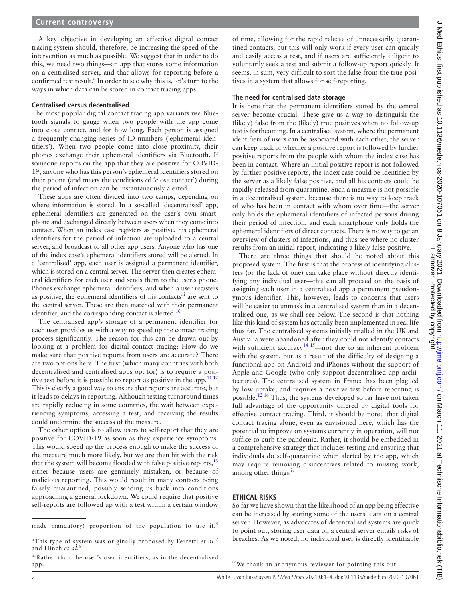A key objective in developing an effective digital contact tracing system should, therefore, be increasing the speed of the intervention as much as possible. We suggest that in order to do this, we need two things—an app that stores some information on a centralised server, and that allows for reporting before a confirmed test result.<sup>ii</sup> In order to see why this is, let's turn to the ways in which data can be stored in contact tracing apps.

### **Centralised versus decentralised**

The most popular digital contact tracing app variants use Bluetooth signals to gauge when two people with the app come into close contact, and for how long. Each person is assigned a frequently-changing series of ID-numbers ('ephemeral identifiers'). When two people come into close proximity, their phones exchange their ephemeral identifiers via Bluetooth. If someone reports on the app that they are positive for COVID-19, anyone who has this person's ephemeral identifiers stored on their phone (and meets the conditions of 'close contact') during the period of infection can be instantaneously alerted.

These apps are often divided into two camps, depending on where information is stored. In a so-called 'decentralised' app, ephemeral identifiers are generated on the user's own smartphone and exchanged directly between users when they come into contact. When an index case registers as positive, his ephemeral identifiers for the period of infection are uploaded to a central server, and broadcast to all other app users. Anyone who has one of the index case's ephemeral identifiers stored will be alerted. In a 'centralised' app, each user is assigned a permanent identifier, which is stored on a central server. The server then creates ephemeral identifiers for each user and sends them to the user's phone. Phones exchange ephemeral identifiers, and when a user registers as positive, the ephemeral identifiers of his contacts<sup>iii</sup> are sent to the central server. These are then matched with their permanent identifier, and the corresponding contact is alerted. $10$ 

The centralised app's storage of a permanent identifier for each user provides us with a way to speed up the contact tracing process significantly. The reason for this can be drawn out by looking at a problem for digital contact tracing: How do we make sure that positive reports from users are accurate? There are two options here. The first (which many countries with both decentralised and centralised apps opt for) is to require a posi-tive test before it is possible to report as positive in the app.<sup>[11 12](#page-3-9)</sup> This is clearly a good way to ensure that reports are accurate, but it leads to delays in reporting. Although testing turnaround times are rapidly reducing in some countries, the wait between experiencing symptoms, accessing a test, and receiving the results could undermine the success of the measure.

The other option is to allow users to self-report that they are positive for COVID-19 as soon as they experience symptoms. This would speed up the process enough to make the success of the measure much more likely, but we are then hit with the risk that the system will become flooded with false positive reports, $^{13}$  $^{13}$  $^{13}$ either because users are genuinely mistaken, or because of malicious reporting. This would result in many contacts being falsely quarantined, possibly sending us back into conditions approaching a general lockdown. We could require that positive self-reports are followed up with a test within a certain window

of time, allowing for the rapid release of unnecessarily quarantined contacts, but this will only work if every user can quickly and easily access a test, and if users are sufficiently diligent to voluntarily seek a test and submit a follow-up report quickly. It seems, in sum, very difficult to sort the false from the true positives in a system that allows for self-reporting.

## **The need for centralised data storage**

It is here that the permanent identifiers stored by the central server become crucial. These give us a way to distinguish the (likely) false from the (likely) true positives when no follow-up test is forthcoming. In a centralised system, where the permanent identifiers of users can be associated with each other, the server can keep track of whether a positive report is followed by further positive reports from the people with whom the index case has been in contact. Where an initial positive report is not followed by further positive reports, the index case could be identified by the server as a likely false positive, and all his contacts could be rapidly released from quarantine. Such a measure is not possible in a decentralised system, because there is no way to keep track of who has been in contact with whom over time—the server only holds the ephemeral identifiers of infected persons during their period of infection, and each smartphone only holds the ephemeral identifiers of direct contacts. There is no way to get an overview of clusters of infections, and thus see where no cluster results from an initial report, indicating a likely false positive.

There are three things that should be noted about this proposed system. The first is that the process of identifying clusters (or the lack of one) can take place without directly identifying any individual user—this can all proceed on the basis of assigning each user in a centralised app a permanent pseudonymous identifier. This, however, leads to concerns that users will be easier to unmask in a centralised system than in a decentralised one, as we shall see below. The second is that nothing like this kind of system has actually been implemented in real life thus far. The centralised systems initially trialled in the UK and Australia were abandoned after they could not identify contacts with sufficient accuracy<sup>14 15</sup>—not due to an inherent problem with the system, but as a result of the difficulty of designing a functional app on Android and iPhones without the support of Apple and Google (who only support decentralised app architectures). The centralised system in France has been plagued by low uptake, and requires a positive test before reporting is possible.[12 16](#page-3-12) Thus, the systems developed so far have not taken full advantage of the opportunity offered by digital tools for effective contact tracing. Third, it should be noted that digital contact tracing alone, even as envisioned here, which has the potential to improve on systems currently in operation, will not suffice to curb the pandemic. Rather, it should be embedded in a comprehensive strategy that includes testing and ensuring that individuals do self-quarantine when alerted by the app, which may require removing disincentives related to missing work, among other things.<sup>iv</sup>

### **ETHICAL RISKS**

So far we have shown that the likelihood of an app being effective can be increased by storing some of the users' data on a central server. However, as advocates of decentralised systems are quick to point out, storing user data on a central server entails risks of breaches. As we noted, no individual user is directly identifiable

made mandatory) proportion of the population to use it.<sup>[4](#page-3-3)</sup>

iiThis type of system was originally proposed by Ferretti *et al*. [7](#page-3-5) and Hinch et al.<sup>[9](#page-3-7)</sup>

iii Rather than the user's own identifiers, as in the decentralised app.

ivWe thank an anonymous reviewer for pointing this out.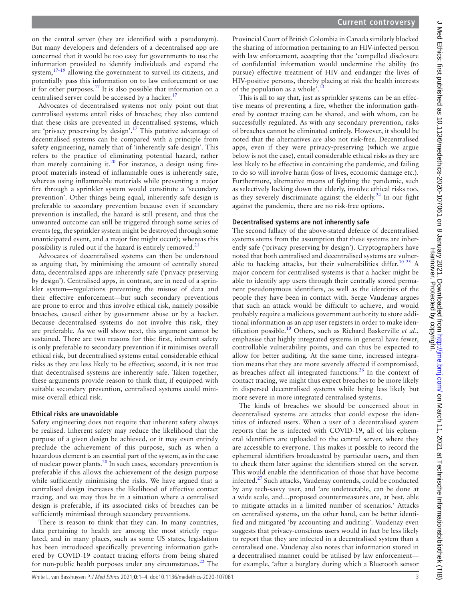$\subset$ 

on the central server (they are identified with a pseudonym). But many developers and defenders of a decentralised app are concerned that it would be too easy for governments to use the information provided to identify individuals and expand the system, $17-19$  allowing the government to surveil its citizens, and potentially pass this information on to law enforcement or use it for other purposes.<sup>17</sup> It is also possible that information on a centralised server could be accessed by a hacker.<sup>[17](#page-3-13)</sup>

Advocates of decentralised systems not only point out that centralised systems entail risks of breaches; they also contend that these risks are prevented in decentralised systems, which are 'privacy preserving by design'.<sup>17</sup> This putative advantage of decentralised systems can be compared with a principle from safety engineering, namely that of 'inherently safe design'. This refers to the practice of eliminating potential hazard, rather than merely containing it.<sup>20</sup> For instance, a design using fireproof materials instead of inflammable ones is inherently safe, whereas using inflammable materials while preventing a major fire through a sprinkler system would constitute a 'secondary prevention'. Other things being equal, inherently safe design is preferable to secondary prevention because even if secondary prevention is installed, the hazard is still present, and thus the unwanted outcome can still be triggered through some series of events (eg, the sprinkler system might be destroyed through some unanticipated event, and a major fire might occur); whereas this possibility is ruled out if the hazard is entirely removed. $21$ 

Advocates of decentralised systems can then be understood as arguing that, by minimising the amount of centrally stored data, decentralised apps are inherently safe ('privacy preserving by design'). Centralised apps, in contrast, are in need of a sprinkler system—regulations preventing the misuse of data and their effective enforcement—but such secondary preventions are prone to error and thus involve ethical risk, namely possible breaches, caused either by government abuse or by a hacker. Because decentralised systems do not involve this risk, they are preferable. As we will show next, this argument cannot be sustained. There are two reasons for this: first, inherent safety is only preferable to secondary prevention if it minimises overall ethical risk, but decentralised systems entail considerable ethical risks as they are less likely to be effective; second, it is not true that decentralised systems are inherently safe. Taken together, these arguments provide reason to think that, if equipped with suitable secondary prevention, centralised systems could minimise overall ethical risk.

### **Ethical risks are unavoidable**

Safety engineering does not require that inherent safety always be realised. Inherent safety may reduce the likelihood that the purpose of a given design be achieved, or it may even entirely preclude the achievement of this purpose, such as when a hazardous element is an essential part of the system, as in the case of nuclear power plants.<sup>20</sup> In such cases, secondary prevention is preferable if this allows the achievement of the design purpose while sufficiently minimising the risks. We have argued that a centralised design increases the likelihood of effective contact tracing, and we may thus be in a situation where a centralised design is preferable, if its associated risks of breaches can be sufficiently minimised through secondary preventions.

There is reason to think that they can. In many countries, data pertaining to health are among the most strictly regulated, and in many places, such as some US states, legislation has been introduced specifically preventing information gathered by COVID-19 contact tracing efforts from being shared for non-public health purposes under any circumstances. $^{22}$  $^{22}$  $^{22}$  The

Provincial Court of British Colombia in Canada similarly blocked the sharing of information pertaining to an HIV-infected person with law enforcement, accepting that the 'compelled disclosure of confidential information would undermine the ability (to pursue) effective treatment of HIV and endanger the lives of HIV-positive persons, thereby placing at risk the health interests of the population as a whole'.<sup>2</sup>

This is all to say that, just as sprinkler systems can be an effective means of preventing a fire, whether the information gathered by contact tracing can be shared, and with whom, can be successfully regulated. As with any secondary prevention, risks of breaches cannot be eliminated entirely. However, it should be noted that the alternatives are also not risk-free. Decentralised apps, even if they were privacy-preserving (which we argue below is not the case), entail considerable ethical risks as they are less likely to be effective in containing the pandemic, and failing to do so will involve harm (loss of lives, economic damage etc.). Furthermore, alternative means of fighting the pandemic, such as selectively locking down the elderly, involve ethical risks too, as they severely discriminate against the elderly.<sup>[24](#page-3-18)</sup> In our fight against the pandemic, there are no risk-free options.

## **Decentralised systems are not inherently safe**

The second fallacy of the above-stated defence of decentralised systems stems from the assumption that these systems are inherently safe ('privacy preserving by design'). Cryptographers have noted that both centralised and decentralised systems are vulner-able to hacking attacks, but their vulnerabilities differ.<sup>[10 25](#page-3-8)</sup> A major concern for centralised systems is that a hacker might be able to identify app users through their centrally stored permanent pseudonymous identifiers, as well as the identities of the people they have been in contact with. Serge Vaudenay argues that such an attack would be difficult to achieve, and would probably require a malicious government authority to store additional information as an app user registers in order to make identification possible[.10](#page-3-8) Others, such as Richard Baskerville *et al*., emphasise that highly integrated systems in general have fewer, controllable vulnerability points, and can thus be expected to allow for better auditing. At the same time, increased integration means that they are more severely affected if compromised, as breaches affect all integrated functions. $^{26}$  In the context of contact tracing, we might thus expect breaches to be more likely in dispersed decentralised systems while being less likely but more severe in more integrated centralised systems.

The kinds of breaches we should be concerned about in decentralised systems are attacks that could expose the identities of infected users. When a user of a decentralised system reports that he is infected with COVID-19, all of his ephemeral identifiers are uploaded to the central server, where they are accessible to everyone. This makes it possible to record the ephemeral identifiers broadcasted by particular users, and then to check them later against the identifiers stored on the server. This would enable the identification of those that have become infected.<sup>27</sup> Such attacks, Vaudenay contends, could be conducted by any tech-savvy user, and 'are undetectable, can be done at a wide scale, and…proposed countermeasures are, at best, able to mitigate attacks in a limited number of scenarios.' Attacks on centralised systems, on the other hand, can be better identified and mitigated 'by accounting and auditing'. Vaudenay even suggests that privacy-conscious users would in fact be less likely to report that they are infected in a decentralised system than a centralised one. Vaudenay also notes that information stored in a decentralised manner could be utilised by law enforcement for example, 'after a burglary during which a Bluetooth sensor